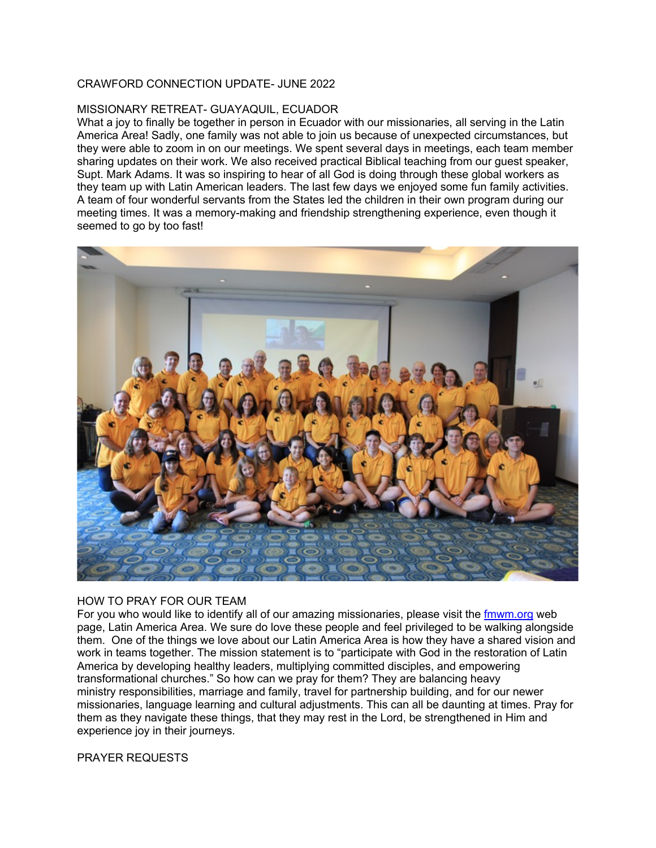## CRAWFORD CONNECTION UPDATE- JUNE 2022

## MISSIONARY RETREAT- GUAYAQUIL, ECUADOR

What a joy to finally be together in person in Ecuador with our missionaries, all serving in the Latin America Area! Sadly, one family was not able to join us because of unexpected circumstances, but they were able to zoom in on our meetings. We spent several days in meetings, each team member sharing updates on their work. We also received practical Biblical teaching from our guest speaker, Supt. Mark Adams. It was so inspiring to hear of all God is doing through these global workers as they team up with Latin American leaders. The last few days we enjoyed some fun family activities. A team of four wonderful servants from the States led the children in their own program during our meeting times. It was a memory-making and friendship strengthening experience, even though it seemed to go by too fast!



## HOW TO PRAY FOR OUR TEAM

For you who would like to identify all of our amazing missionaries, please visit the fmwm.org web page, Latin America Area. We sure do love these people and feel privileged to be walking alongside them. One of the things we love about our Latin America Area is how they have a shared vision and work in teams together. The mission statement is to "participate with God in the restoration of Latin America by developing healthy leaders, multiplying committed disciples, and empowering transformational churches." So how can we pray for them? They are balancing heavy ministry responsibilities, marriage and family, travel for partnership building, and for our newer missionaries, language learning and cultural adjustments. This can all be daunting at times. Pray for them as they navigate these things, that they may rest in the Lord, be strengthened in Him and experience joy in their journeys.

## PRAYER REQUESTS